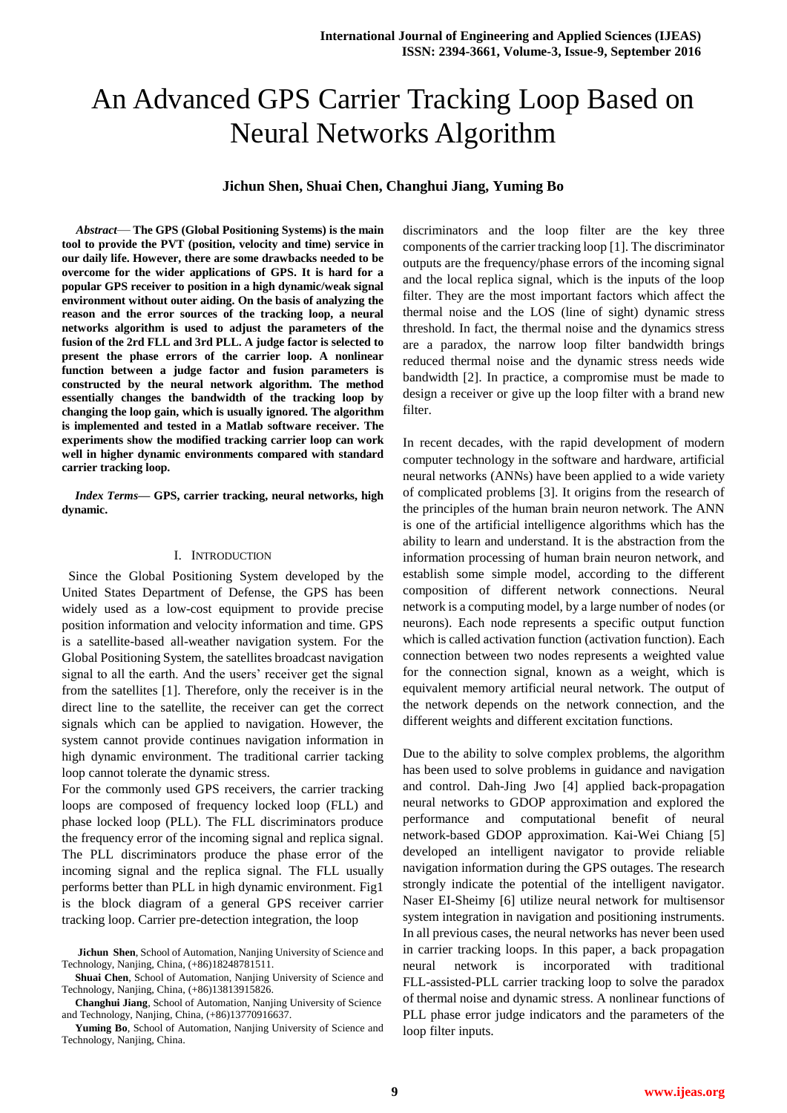# An Advanced GPS Carrier Tracking Loop Based on Neural Networks Algorithm

# **Jichun Shen, Shuai Chen, Changhui Jiang, Yuming Bo**

*Abstract*— **The GPS (Global Positioning Systems) is the main tool to provide the PVT (position, velocity and time) service in our daily life. However, there are some drawbacks needed to be overcome for the wider applications of GPS. It is hard for a popular GPS receiver to position in a high dynamic/weak signal environment without outer aiding. On the basis of analyzing the reason and the error sources of the tracking loop, a neural networks algorithm is used to adjust the parameters of the fusion of the 2rd FLL and 3rd PLL. A judge factor is selected to present the phase errors of the carrier loop. A nonlinear function between a judge factor and fusion parameters is constructed by the neural network algorithm. The method essentially changes the bandwidth of the tracking loop by changing the loop gain, which is usually ignored. The algorithm is implemented and tested in a Matlab software receiver. The experiments show the modified tracking carrier loop can work well in higher dynamic environments compared with standard carrier tracking loop.**

*Index Terms***— GPS, carrier tracking, neural networks, high dynamic.**

#### I. INTRODUCTION

 Since the Global Positioning System developed by the United States Department of Defense, the GPS has been widely used as a low-cost equipment to provide precise position information and velocity information and time. GPS is a satellite-based all-weather navigation system. For the Global Positioning System, the satellites broadcast navigation signal to all the earth. And the users' receiver get the signal from the satellites [1]. Therefore, only the receiver is in the direct line to the satellite, the receiver can get the correct signals which can be applied to navigation. However, the system cannot provide continues navigation information in high dynamic environment. The traditional carrier tacking loop cannot tolerate the dynamic stress.

For the commonly used GPS receivers, the carrier tracking loops are composed of frequency locked loop (FLL) and phase locked loop (PLL). The FLL discriminators produce the frequency error of the incoming signal and replica signal. The PLL discriminators produce the phase error of the incoming signal and the replica signal. The FLL usually performs better than PLL in high dynamic environment. Fig1 is the block diagram of a general GPS receiver carrier tracking loop. Carrier pre-detection integration, the loop

**Shuai Chen**, School of Automation, Nanjing University of Science and Technology, Nanjing, China, (+86)13813915826.

**Changhui Jiang**, School of Automation, Nanjing University of Science and Technology, Nanjing, China, (+86)13770916637.

**Yuming Bo**, School of Automation, Nanjing University of Science and Technology, Nanjing, China.

discriminators and the loop filter are the key three components of the carrier tracking loop [1]. The discriminator outputs are the frequency/phase errors of the incoming signal and the local replica signal, which is the inputs of the loop filter. They are the most important factors which affect the thermal noise and the LOS (line of sight) dynamic stress threshold. In fact, the thermal noise and the dynamics stress are a paradox, the narrow loop filter bandwidth brings reduced thermal noise and the dynamic stress needs wide bandwidth [2]. In practice, a compromise must be made to design a receiver or give up the loop filter with a brand new filter.

In recent decades, with the rapid development of modern computer technology in the software and hardware, artificial neural networks (ANNs) have been applied to a wide variety of complicated problems [3]. It origins from the research of the principles of the human brain neuron network. The ANN is one of the artificial intelligence algorithms which has the ability to learn and understand. It is the abstraction from the information processing of human brain neuron network, and establish some simple model, according to the different composition of different network connections. Neural network is a computing model, by a large number of nodes (or neurons). Each node represents a specific output function which is called activation function (activation function). Each connection between two nodes represents a weighted value for the connection signal, known as a weight, which is equivalent memory artificial neural network. The output of the network depends on the network connection, and the different weights and different excitation functions.

Due to the ability to solve complex problems, the algorithm has been used to solve problems in guidance and navigation and control. Dah-Jing Jwo [4] applied back-propagation neural networks to GDOP approximation and explored the performance and computational benefit of neural network-based GDOP approximation. Kai-Wei Chiang [5] developed an intelligent navigator to provide reliable navigation information during the GPS outages. The research strongly indicate the potential of the intelligent navigator. Naser EI-Sheimy [6] utilize neural network for multisensor system integration in navigation and positioning instruments. In all previous cases, the neural networks has never been used in carrier tracking loops. In this paper, a back propagation neural network is incorporated with traditional FLL-assisted-PLL carrier tracking loop to solve the paradox of thermal noise and dynamic stress. A nonlinear functions of PLL phase error judge indicators and the parameters of the loop filter inputs.

**Jichun Shen**, School of Automation, Nanjing University of Science and Technology, Nanjing, China, (+86)18248781511.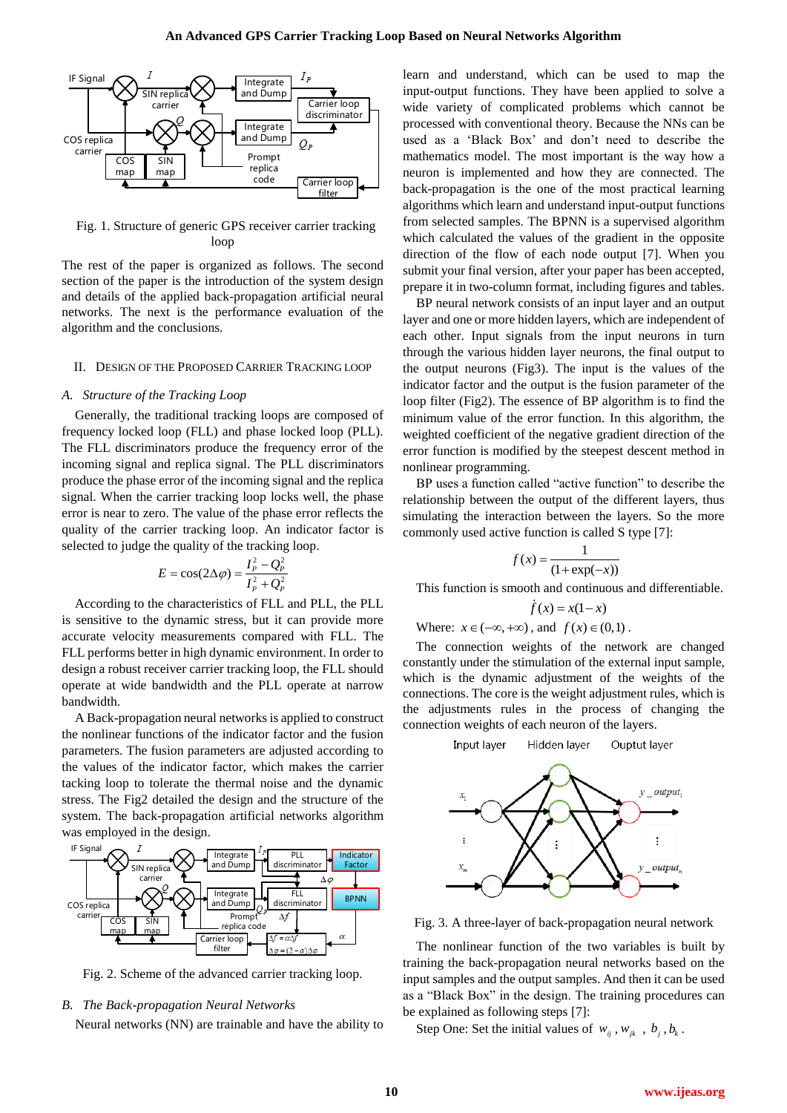

Fig. 1. Structure of generic GPS receiver carrier tracking loon

The rest of the paper is organized as follows. The second section of the paper is the introduction of the system design and details of the applied back-propagation artificial neural networks. The next is the performance evaluation of the algorithm and the conclusions.

## II. DESIGN OF THE PROPOSED CARRIER TRACKING LOOP

# *A. Structure of the Tracking Loop*

Generally, the traditional tracking loops are composed of frequency locked loop (FLL) and phase locked loop (PLL). The FLL discriminators produce the frequency error of the incoming signal and replica signal. The PLL discriminators produce the phase error of the incoming signal and the replica signal. When the carrier tracking loop locks well, the phase error is near to zero. The value of the phase error reflects the quality of the carrier tracking loop. An indicator factor is selected to judge the quality of the tracking loop.

$$
E = \cos(2\Delta\varphi) = \frac{I_p^2 - Q_p^2}{I_p^2 + Q_p^2}
$$

According to the characteristics of FLL and PLL, the PLL is sensitive to the dynamic stress, but it can provide more accurate velocity measurements compared with FLL. The FLL performs better in high dynamic environment. In order to design a robust receiver carrier tracking loop, the FLL should operate at wide bandwidth and the PLL operate at narrow bandwidth.

A Back-propagation neural networks is applied to construct the nonlinear functions of the indicator factor and the fusion parameters. The fusion parameters are adjusted according to the values of the indicator factor, which makes the carrier tacking loop to tolerate the thermal noise and the dynamic stress. The Fig2 detailed the design and the structure of the system. The back-propagation artificial networks algorithm was employed in the design.



Fig. 2. Scheme of the advanced carrier tracking loop.

### *B. The Back-propagation Neural Networks*

Neural networks (NN) are trainable and have the ability to

learn and understand, which can be used to map the input-output functions. They have been applied to solve a wide variety of complicated problems which cannot be processed with conventional theory. Because the NNs can be used as a "Black Box" and don"t need to describe the mathematics model. The most important is the way how a neuron is implemented and how they are connected. The back-propagation is the one of the most practical learning algorithms which learn and understand input-output functions from selected samples. The BPNN is a supervised algorithm which calculated the values of the gradient in the opposite direction of the flow of each node output [7]. When you submit your final version, after your paper has been accepted, prepare it in two-column format, including figures and tables.

BP neural network consists of an input layer and an output layer and one or more hidden layers, which are independent of each other. Input signals from the input neurons in turn through the various hidden layer neurons, the final output to the output neurons (Fig3). The input is the values of the indicator factor and the output is the fusion parameter of the loop filter (Fig2). The essence of BP algorithm is to find the minimum value of the error function. In this algorithm, the weighted coefficient of the negative gradient direction of the error function is modified by the steepest descent method in nonlinear programming.

BP uses a function called "active function" to describe the relationship between the output of the different layers, thus simulating the interaction between the layers. So the more commonly used active function is called S type [7]:

$$
f(x) = \frac{1}{(1 + \exp(-x))}
$$

This function is smooth and continuous and differentiable.

$$
f(x) = x(1-x)
$$

Where:  $x \in (-\infty, +\infty)$ , and  $f(x) \in (0,1)$ .

The connection weights of the network are changed constantly under the stimulation of the external input sample, which is the dynamic adjustment of the weights of the connections. The core is the weight adjustment rules, which is the adjustments rules in the process of changing the connection weights of each neuron of the layers.



Fig. 3. A three-layer of back-propagation neural network

The nonlinear function of the two variables is built by training the back-propagation neural networks based on the input samples and the output samples. And then it can be used as a "Black Box" in the design. The training procedures can be explained as following steps [7]:

Step One: Set the initial values of  $w_{ij}$ ,  $w_{jk}$ ,  $b_j$ ,  $b_k$ .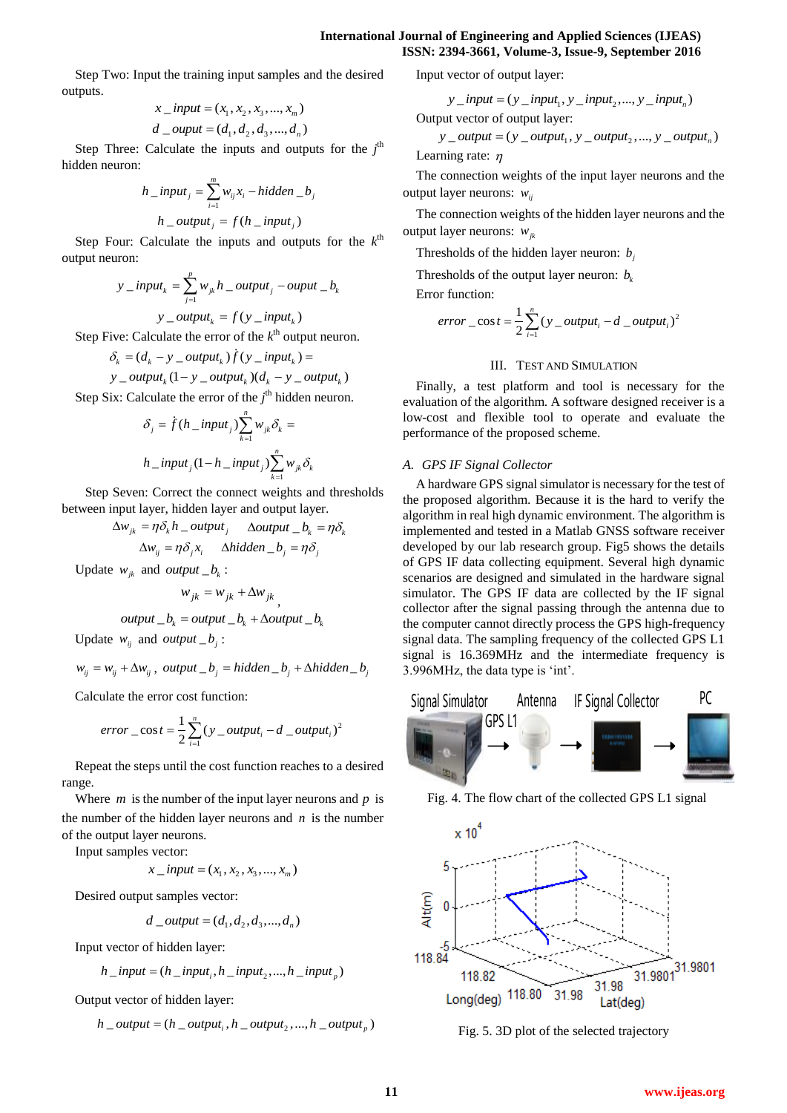Step Two: Input the training input samples and the desired outputs.

$$
x\_input = (x_1, x_2, x_3, ..., x_m)
$$
  

$$
d\_output = (d_1, d_2, d_3, ..., d_n)
$$

Step Three: Calculate the inputs and outputs for the  $j<sup>th</sup>$ hidden neuron:

$$
h\_input_j = \sum_{i=1}^{m} w_{ij} x_i - hidden\_b_j
$$

$$
h\_output_j = f(h\_input_j)
$$

Step Four: Calculate the inputs and outputs for the  $k^{\text{th}}$ output neuron:

$$
y\_input_k = \sum_{j=1}^{p} w_{jk} h\_output_j - output\_b_k
$$

 $y_$  *<i>cutput<sub>k</sub>* =  $f(y_$  *input<sub>k</sub>* $)$ 

Step Five: Calculate the error of the  $k^{\text{th}}$  output neuron.<br>  $\delta_k = (d_k - y \_output_k) f(y \_input_k) =$ 

$$
\delta_k = (d_k - y_{\text{u}}\text{output}_k)\dot{f}(y_{\text{u}}\text{input}_k) =
$$

$$
\delta_k = (d_k - y_{output_k}) f(y_{input_k}) =
$$
  

$$
y_{output_k} (1 - y_{output_k}) (d_k - y_{output_k})
$$

Step Six: Calculate the error of the  $j<sup>th</sup>$  hidden neuron.

$$
\delta_j = \dot{f}(h\_input_j) \sum_{k=1}^n w_{jk} \delta_k =
$$
  

$$
h\_input_j (1 - h\_input_j) \sum_{k=1}^n w_{jk} \delta_k
$$

 Step Seven: Correct the connect weights and thresholds between input layer, hidden layer and output layer.

$$
\Delta w_{jk} = \eta \delta_k h_ \text{output}_j \quad \Delta output_- b_k = \eta \delta_k
$$
  

$$
\Delta w_{ij} = \eta \delta_j x_i \quad \Delta hidden_- b_j = \eta \delta_j
$$

Update  $w_{jk}$  and *output*  $\Delta b_k$ :

$$
w_{jk} = w_{jk} + \Delta w_{jk},
$$

$$
output_b_k = output_b_k + \Delta output_b_k
$$

Update  $w_{ij}$  and *output*  $\Delta b_j$ :

$$
w_{ij} = w_{ij} + \Delta w_{ij}, \ output\_b_j = hidden\_b_j + \Delta hidden\_b_j
$$

Calculate the error cost function:

$$
error\_cost = \frac{1}{2} \sum_{i=1}^{n} (y\_output_i - d\_output_i)^2
$$

Repeat the steps until the cost function reaches to a desired range.

Where  $m$  is the number of the input layer neurons and  $p$  is the number of the hidden layer neurons and  $n$  is the number of the output layer neurons.

Input samples vector:

$$
x\_input = (x_1, x_2, x_3, ..., x_m)
$$

Desired output samples vector:

$$
d\_output = (d_1, d_2, d_3, ..., d_n)
$$

Input vector of hidden layer:

$$
h\_input = (h\_input_i, h\_input_2, ..., h\_input_p)
$$

Output vector of hidden layer:  
\n
$$
h_{output} = (h_{output_i}, h_{output_2}, ..., h_{output_p})
$$

Input vector of output layer:

vector of output layer:  

$$
y\_input = (y\_input_1, y\_input_2, ..., y\_input_n)
$$

Output vector of output layer:  
\n
$$
y\_output = (y\_output_1, y\_output_2, ..., y\_output_n)
$$
  
\nLearning rate:  $\eta$ 

The connection weights of the input layer neurons and the output layer neurons:  $w_{ij}$ 

The connection weights of the hidden layer neurons and the output layer neurons: *wjk*

Thresholds of the hidden layer neuron:  $b_j$ 

Thresholds of the output layer neuron:  $b_k$ Error function:

1  $\frac{1}{2} \cos t = \frac{1}{2} \sum_{i=1}^{n} (y_0 - output_i - d_0 - output_i)$ *error*  $\frac{1}{2} \sum_{i=1}^{n} (y \text{ output}_i - d \text{ output}_i)$ 

# III. TEST AND SIMULATION

2

Finally, a test platform and tool is necessary for the evaluation of the algorithm. A software designed receiver is a low-cost and flexible tool to operate and evaluate the performance of the proposed scheme.

## *A. GPS IF Signal Collector*

A hardware GPS signal simulator is necessary for the test of the proposed algorithm. Because it is the hard to verify the algorithm in real high dynamic environment. The algorithm is implemented and tested in a Matlab GNSS software receiver developed by our lab research group. Fig5 shows the details of GPS IF data collecting equipment. Several high dynamic scenarios are designed and simulated in the hardware signal simulator. The GPS IF data are collected by the IF signal collector after the signal passing through the antenna due to the computer cannot directly process the GPS high-frequency signal data. The sampling frequency of the collected GPS L1 signal is 16.369MHz and the intermediate frequency is 3.996MHz, the data type is "int".



Fig. 4. The flow chart of the collected GPS L1 signal



Fig. 5. 3D plot of the selected trajectory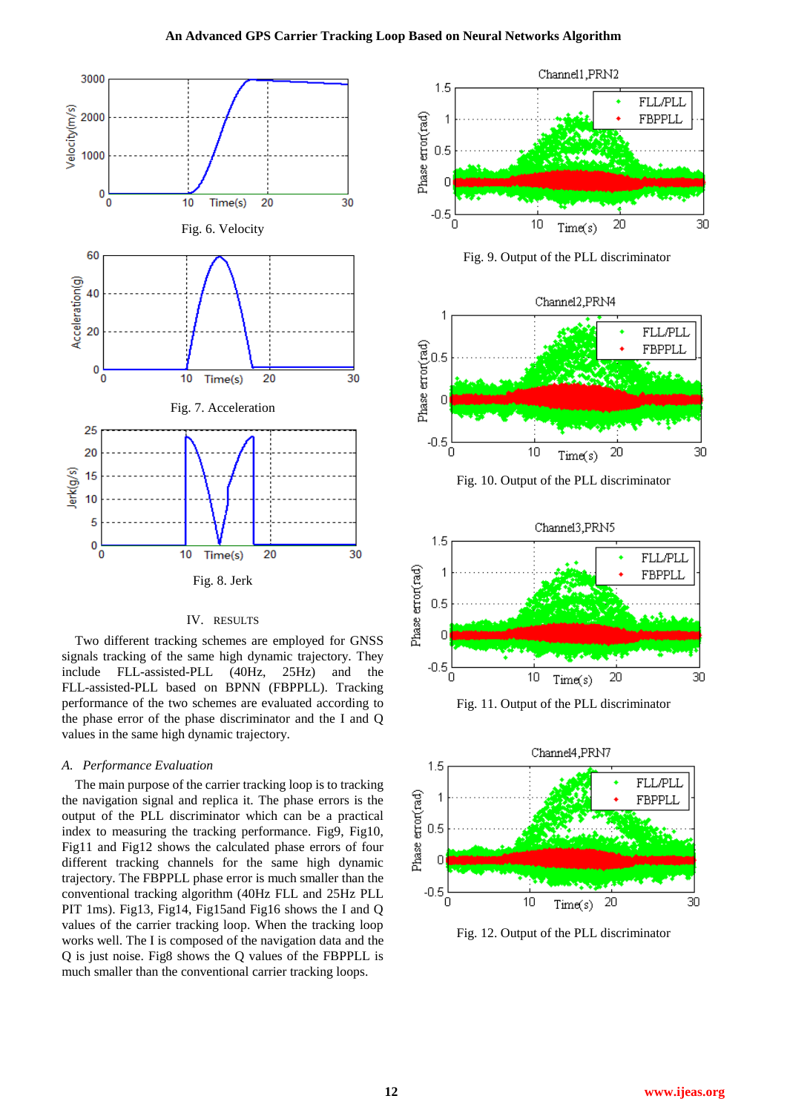#### **An Advanced GPS Carrier Tracking Loop Based on Neural Networks Algorithm**



#### IV. RESULTS

Two different tracking schemes are employed for GNSS signals tracking of the same high dynamic trajectory. They include FLL-assisted-PLL (40Hz, 25Hz) and the FLL-assisted-PLL based on BPNN (FBPPLL). Tracking performance of the two schemes are evaluated according to the phase error of the phase discriminator and the I and Q values in the same high dynamic trajectory.

#### *A. Performance Evaluation*

The main purpose of the carrier tracking loop is to tracking the navigation signal and replica it. The phase errors is the output of the PLL discriminator which can be a practical index to measuring the tracking performance. Fig9, Fig10, Fig11 and Fig12 shows the calculated phase errors of four different tracking channels for the same high dynamic trajectory. The FBPPLL phase error is much smaller than the conventional tracking algorithm (40Hz FLL and 25Hz PLL PIT 1ms). Fig13, Fig14, Fig15and Fig16 shows the I and Q values of the carrier tracking loop. When the tracking loop works well. The I is composed of the navigation data and the Q is just noise. Fig8 shows the Q values of the FBPPLL is much smaller than the conventional carrier tracking loops.



Fig. 9. Output of the PLL discriminator



Fig. 10. Output of the PLL discriminator



Fig. 11. Output of the PLL discriminator



Fig. 12. Output of the PLL discriminator